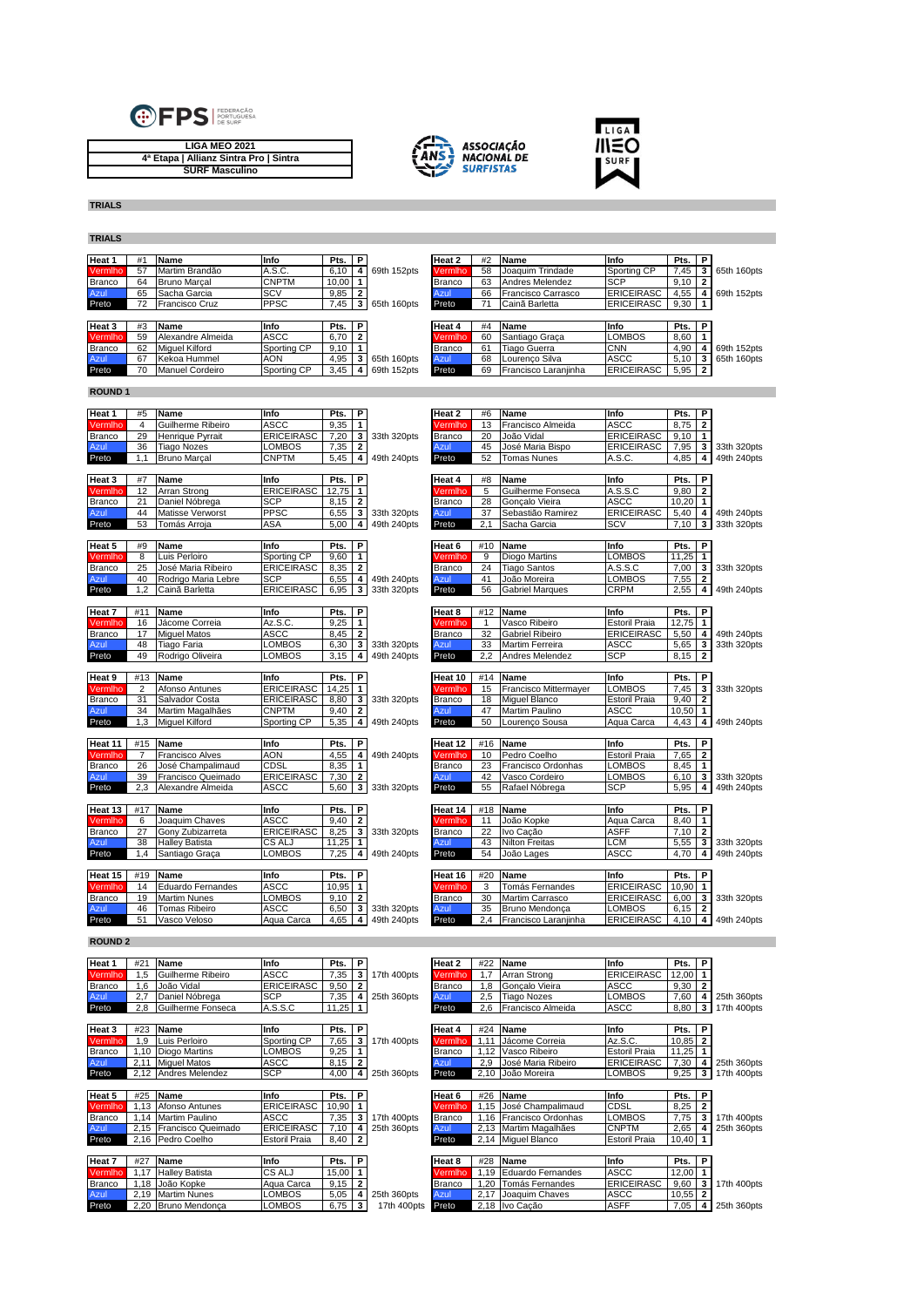

**LIGA MEO 2021 4ª Etapa | Allianz Sintra Pro | Sintra SURF Masculino**





**TRIALS TRIALS**

**Heat 1** #1 **Name Info Pts. P Heat 2** #2 **Name Info Pts. P** Vermlho 57 Martim Brandão A.S.C. 6,10 **4** 69th 152pts Vermlho 58 Joaquim Trindade Sporting CP 7,45 **3** 65th 160pts Branco 64 Bruno Marçal CNPTM 10,00 **1** Branco 63 Andres Melendez SCP 9,10 **2** Azul 65 Sacha Garcia SCV 9,85 **2** Azul 66 Francisco Carrasco ERICEIRASC 4,55 **4** 69th 152pts Preto 72 Francisco Cruz PPSC 7,45 **3** 65th 160pts Preto 71 Cainã Barletta ERICEIRASC 9,30 **1 Heat 3** #3 **Name Info Pts. P Heat 4** #4 **Name Info Pts. P** Vermlho 59 Alexandre Almeida ASCC 6,70 **2** Vermlho 60 Santiago Graça LOMBOS 8,60 **1** Branco | 62 |Miguel Kilford | Sporting CP | 9,10 **| 1** | Branco | 61 |Tiago Guerra | CNN | 4,90 | **4** | 69th 152pts Azul 67 Kekoa Hummel AON 4,95 **3** 65th 160pts Azul 68 Lourenço Silva ASCC 5,10 **3** 65th 160pts Preto Manuel Cordeiro Sporting CP 3,45 **4** 69th 152pts Preto 69 Francisco Laranjin **ROUND 1 Heat 1** #5 **Name Info Pts. P Heat 2** #6 **Name Info Pts. P** Vermlho 4 Guilherme Ribeiro ASCC 9,35 **1** Vermlho 13 Francisco Almeida ASCC 8,75 **2** Branco 29 Henrique Pyrrait ERICEIRASC 7,20 **3** 33th 320pts Branco 20 João Vidal ERICEIRASC 9,10 **1** Azul 36 Tiago Nozes LOMBOS 7,35 **2** Azul 45 José Maria Bispo ERICEIRASC 7,95 **3** 33th 320pts Preto 1,1 Bruno Marçal CNPTM 5,45 **4** 49th 240pts Preto 52 Tomas Nunes A.S.C. 4,85 **4** 49th 240pts **Heat 3** #7 **Name Info Pts. P Heat 4** #8 **Name Info Pts. P** Vermlho 12 Arran Strong ERICEIRASC 12,75 **1** Vermlho 5 Guilherme Fonseca A.S.S.C 9,80 **2** Branco 21 Daniel Nóbrega SCP 8,15 **2** Branco 28 Gonçalo Vieira ASCC 10,20 **1** Azul 44 Matisse Verworst PPSC 6,55 **3** 33th 320pts Azul 37 Sebastião Ramirez ERICEIRASC 5,40 **4** 49th 240pts Preto 53 Tomás Arroja ASA 5,00 **4** 49th 240pts Preto 2,1 Sacha Garcia SCV 7,10 **3** 33th 320pts **Heat 5** #9 **Name Info Pts. P Heat 6** #10 **Name Info Pts. P** Vermlho 8 Luis Perloiro Sporting CP 9,60 **1** Vermlho 9 Diogo Martins LOMBOS 11,25 **1** Branco 25 José Maria Ribeiro ERICEIRASC 8,35 **2** Branco 24 Tiago Santos A.S.S.C 7,00 **3** 33th 320pts Azul 40 Rodrigo Maria Lebre SCP 6,55 **4** 49th 240pts Azul 41 João Moreira LOMBOS 7,55 **2** Preto 1,2 Cainã Barletta ERICEIRASC 6,95 **3** 33th 320pts Preto 56 Gabriel Marques CRPM 2,55 **4** 49th 240pts **Heat 7** #11 **Name Info Pts. P Heat 8** #12 **Name Info Pts. P** Vermlho 16 Jácome Correia Az.S.C. 9,25 **1** Vermlho 1 Vasco Ribeiro Estoril Praia 12,75 **1** Branco 17 Miguel Matos ASCC 8,45 **2** Branco 32 Gabriel Ribeiro ERICEIRASC 5,50 **4** 49th 240pts Azul 48 Tiago Faria LOMBOS 6,30 **3** 33th 320pts Azul 33 Martim Ferreira ASCC 5,65 **3** 33th 320pts Preto 49 Rodrigo Oliveira LOMBOS 3,15 **4** 49th 240pts Preto 2,2 Andres Melendez SCP 8,15 **2 Heat 9** #13 **Name Info Pts. P Heat 10** #14 **Name Info Pts. P** Vermlho 2 Afonso Antunes ERICEIRASC 14,25 **1** Vermlho 15 Francisco Mittermayer LOMBOS 7,45 **3** 33th 320pts Branco 31 Salvador Costa ERICEIRASC 8,80 **3** 33th 320pts Branco 18 Miguel Blanco Estoril Praia 9,40 **2** Azul 34 Martim Magalhães CNPTM 9,40 **2** Azul 47 Martim Paulino ASCC 10,50 **1** Preto 1,3 Miguel Kilford Sporting CP 5,35 **4** 49th 240pts Preto 50 Lourenço Sousa Aqua Carca 4,43 **4** 49th 240pts **Heat 11** #15 **Name Info Pts. P Heat 12** #16 **Name Info Pts. P** Vermlho 7 Francisco Alves AON 4,55 **4** 49th 240pts Vermlho 10 Pedro Coelho Estoril Praia 7,65 **2** Branco 26 José Champalimaud CDSL 8,35 **1** Branco 23 Francisco Ordonhas LOMBOS<br>Azul 39 Francisco Queimado ERICEIRASC 7.30 **2** Azul 42 Vasco Cordeiro LOMBOS Branco 26 José Champalimaud CDSL 8,35 1<br>
Azul 39 Francisco Queimado ERICEIRASC 7,30 **2**<br>
Preto 2,3 Alexandre Almeida ASCC 5,60 **3** 33th 320pts Preto 55 Rafael Nóbrega SCP 5,95 4 49th 240pts Preto 2,3 Alexandre Almeida ASCC 5,60 **3** 33th 320pts Preto 55 Rafael Nóbrega SCP 5,95 **4** 49th 240pts **Heat 13** #17 **Name Info Pts. P Heat 14** #18 **Name Info Pts. P Vermino** 6 **Joaquim Chaves ASCC 9,40 2 Vermino** 11 **João Kopke Aqua Carca** 8,40 **1 Aqua Carca** 8,40 **1 Aqua Carca** 8,40 **1 Aqua** <mark>Vermilho</mark> 6 Joaquim-Chaves - ASCC - 9,40 2 - - - - Vermilho 11 João-Kopke - - Aqua-Carca 8,40 1<br>Branco 27 Gony-Zubizarreta - ERICEIRASC 8,25 3 33th 320pts Branco 22 Ivo-Cação - - - - - - - - - - - - - - - -<br>Azul - - 38 Ha Preto 1,4 Santiago Graça LOMBOS 7,25 **4** 49th 240pts Preto 54 João Lages ASCC 4,70 **4** 49th 240pts **Heat 15** #19 **Name Info Pts. P Heat 16** #20 **Name Info Pts. P** Vermlho 14 Eduardo Fernandes ASCC 10,95 **1** Vermlho 3 Tomás Fernandes ERICEIRASC 10,90 **1** Branco 19 Martim Nunes LOMBOS 9,10 **2** Branco 30 Martim Carrasco ERICEIRASC 6,00 **3** 33th 320pts Azul 46 Tomas Ribeiro ASCC 6,50 **3** 33th 320pts Azul 35 Bruno Mendonça LOMBOS 6,15 **2** Preto 51 Vasco Veloso Aqua Carca 4,65 **4** 49th 240pts Preto 2,4 Francisco Laranjinha ERICEIRASC 4,10 **4** 49th 240pts **ROUND 2** Heat 1 #21 |Name |Info | Pts. | P | |Heat 2 | #22 |Name |Info | Pts. | P<br>Vermiho 1,5 |Guilherme Ribeiro |ASCC | 7,35 | 3 | 17th 400pts Vermiho 1,7 |Arran Strong |ERICEIRASC | Branco 1,6 João Vidal ERICEIRASC 9,50 **2** Branco 1,8 Gonçalo Vieira ASCC 9,30 **2** Azul 2,7 Daniel Nóbrega SCP 7,35 **4** 25th 360pts Azul 2,5 Tiago Nozes LOMBOS 7,60 **4** 25th 360pts Preto 2,8 Guilherme Fonseca A.S.S.C 11,25 **1** Preto 2,6 Francisco Almeida ASCC 8,80 **3** 17th 400pts **Heat 3** #23 **Name Info Pts. P Heat 4** #24 **Name Info Pts. P** Vermlho 1,9 Luis Perloiro Sporting CP 7,65 **3** 17th 400pts Vermlho 1,11 Jácome Correia Az.S.C. 10,85 **2** Branco 1,10 Diogo Martins LOMBOS 9,25 **1** Branco 1,12 Vasco Ribeiro Estoril Praia 11,25 **1** Azul 2,11 Miguel Matos ASCC 8,15 **2** Azul 2,9 José Maria Ribeiro ERICEIRASC 7,30 **4** 25th 360pts Preto 2,12 Andres Melendez SCP 4,00 **4** 25th 360pts

| Heat 5        | #25  | Name                    | Info                 | Pts.  | Р              |             | Heat 6        | #26  | <b>Name</b>              | Info                 | Pts.  | P |             |
|---------------|------|-------------------------|----------------------|-------|----------------|-------------|---------------|------|--------------------------|----------------------|-------|---|-------------|
| Vermlho       | .13  | Afonso Antunes          | <b>ERICEIRASC</b>    | 10.90 |                |             | Vermiho       | .15  | José Champalimaud        | <b>CDSL</b>          | 8,25  |   |             |
| <b>Branco</b> |      | 1.14 Martim Paulino     | <b>ASCC</b>          | 7,35  |                | 17th 400pts | <b>Branco</b> |      | 1.16 Francisco Ordonhas  | <b>LOMBOS</b>        | 7,75  |   | 17th 400pts |
| Azul          |      | 2.15 Francisco Queimado | <b>ERICEIRASC</b>    | 7.10  |                | 25th 360pts | Azul          |      | 2,13 Martim Magalhães    | <b>CNPTM</b>         | 2,65  |   | 25th 360pts |
| Preto         |      | 2.16 Pedro Coelho       | <b>Estoril Praia</b> | 8,40  | $\overline{2}$ |             | Preto         |      | 2,14 Miguel Blanco       | <b>Estoril Praia</b> | 10,40 |   |             |
|               |      |                         |                      |       |                |             |               |      |                          |                      |       |   |             |
|               |      |                         |                      |       |                |             |               |      |                          |                      |       |   |             |
| Heat 7        | #27  | Name                    | Info                 | Pts.  | Р              |             | Heat 8        | #28  | Name                     | Info                 | Pts.  | Р |             |
| Vermlho       | 1.17 | <b>Halley Batista</b>   | CS ALJ               | 15,00 |                |             | Vermlho       | .19  | <b>Eduardo Fernandes</b> | <b>ASCC</b>          | 12,00 |   |             |
| <b>Branco</b> |      | 1.18 João Kopke         | Agua Carca           | 9,15  |                |             | Branco        | .20  | Tomás Fernandes          | <b>ERICEIRASC</b>    | 9,60  |   | 17th 400pts |
| Azul          |      | 2.19 Martim Nunes       | <b>LOMBOS</b>        | 5,05  |                | 25th 360pts | Azul          | 2.17 | Joaquim Chaves           | <b>ASCC</b>          | 10,55 |   |             |

| Heat 4  | #24  | Name                     | Info                 | Pts.  | P              |             |
|---------|------|--------------------------|----------------------|-------|----------------|-------------|
| Vermlho | 1.11 | Jácome Correia           | Az.S.C.              | 10.85 | $\overline{2}$ |             |
| Branco  | 1,12 | Vasco Ribeiro            | <b>Estoril Praia</b> | 11.25 | 1              |             |
| Azul    | 2.9  | José Maria Ribeiro       | <b>ERICEIRASC</b>    | 7.30  | 4              | 25th 360pts |
| Preto   | 2.10 | João Moreira             | <b>LOMBOS</b>        | 9.25  | 3              | 17th 400pts |
|         |      |                          |                      |       |                |             |
| Heat 6  | #26  | Name                     | Info                 | Pts.  | Р              |             |
| Vermlho | 1.15 | José Champalimaud        | <b>CDSL</b>          | 8.25  | $\mathbf{2}$   |             |
| Branco  | 1.16 | Francisco Ordonhas       | <b>LOMBOS</b>        | 7.75  | 3              | 17th 400pts |
| Azul    | 2.13 | Martim Magalhães         | <b>CNPTM</b>         | 2.65  | 4              | 25th 360pts |
| Preto   | 2.14 | Miquel Blanco            | <b>Estoril Praia</b> | 10.40 |                |             |
|         |      |                          |                      |       |                |             |
| Heat 8  | #28  | Name                     | Info                 | Pts.  | Р              |             |
| Vermiho | 1.19 | <b>Eduardo Fernandes</b> | <b>ASCC</b>          | 12.00 | 1              |             |
| Branco  | 1.20 | Tomás Fernandes          | <b>ERICEIRASC</b>    | 9,60  | 3              | 17th 400pts |
| Azul    | 2.17 | Joaquim Chaves           | <b>ASCC</b>          | 10.55 | 2              |             |